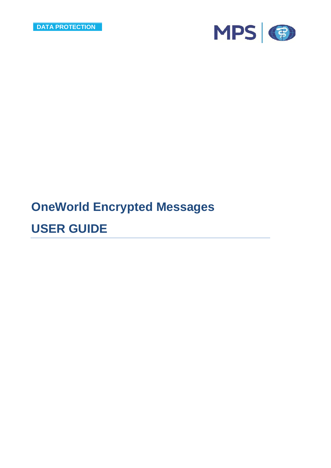

# **OneWorld Encrypted Messages**

## **USER GUIDE**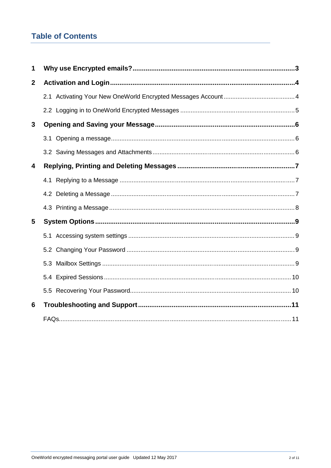## **Table of Contents**

| 1                |  |
|------------------|--|
| $\boldsymbol{2}$ |  |
|                  |  |
|                  |  |
| $\mathbf{3}$     |  |
|                  |  |
|                  |  |
| 4                |  |
|                  |  |
|                  |  |
|                  |  |
| 5                |  |
|                  |  |
|                  |  |
|                  |  |
|                  |  |
|                  |  |
| 6                |  |
|                  |  |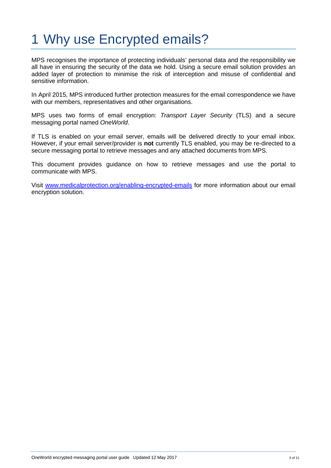# 1 Why use Encrypted emails?

MPS recognises the importance of protecting individuals' personal data and the responsibility we all have in ensuring the security of the data we hold. Using a secure email solution provides an added layer of protection to minimise the risk of interception and misuse of confidential and sensitive information.

In April 2015, MPS introduced further protection measures for the email correspondence we have with our members, representatives and other organisations.

MPS uses two forms of email encryption: *Transport Layer Security* (TLS) and a secure messaging portal named *OneWorld*.

If TLS is enabled on your email server, emails will be delivered directly to your email inbox. However, if your email server/provider is **not** currently TLS enabled, you may be re-directed to a secure messaging portal to retrieve messages and any attached documents from MPS.

This document provides guidance on how to retrieve messages and use the portal to communicate with MPS.

Visit www.medicalprotection.org/enabling-encrypted-emails for more information about our email encryption solution.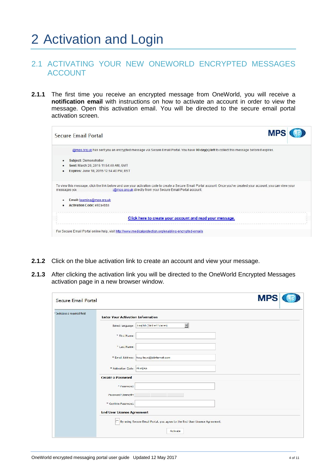# 2 Activation and Login

### 2.1 ACTIVATING YOUR NEW ONEWORLD ENCRYPTED MESSAGES ACCOUNT

**2.1.1** The first time you receive an encrypted message from OneWorld, you will receive a **notification email** with instructions on how to activate an account in order to view the message. Open this activation email. You will be directed to the secure email portal activation screen.

| Secure Email Portal                                                                                                               |                                                                                                                                                                                                                                      | <b>MP</b> |
|-----------------------------------------------------------------------------------------------------------------------------------|--------------------------------------------------------------------------------------------------------------------------------------------------------------------------------------------------------------------------------------|-----------|
|                                                                                                                                   | @mps.org.uk has sert you an encrypted message via Secure Email Portal. You have 90 day(s) left to collect this message before it expires.                                                                                            |           |
| Subject: Demonstration<br>٠<br>Sent: March 20, 2015 11:54:40 AM, GMT<br>$\bullet$<br>Expires: June 18, 2015 12:54:40 PM, BST<br>٠ |                                                                                                                                                                                                                                      |           |
| messages you<br>Email: learning@mps.org.uk<br>$\bullet$<br><b>Activation Code: e92a4bbs</b>                                       | To view this message, click the link below and use your activation code to create a Secure Email Portal account. Once you've created your account, you can view your<br>:@mps.org.uk directly from your Secure Email Portal account: |           |
|                                                                                                                                   | Click here to create your account and read your message.                                                                                                                                                                             |           |
|                                                                                                                                   | For Secure Email Portal online help, visit http://www.medicalprotection.org/enabling-encrypted-emails                                                                                                                                |           |

- **2.1.2** Click on the blue activation link to create an account and view your message.
- 2.1.3 After clicking the activation link you will be directed to the OneWorld Encrypted Messages activation page in a new browser window.

| <b>Secure Email Portal</b>   |                                                                            | <b>MPS</b> |
|------------------------------|----------------------------------------------------------------------------|------------|
| * Indicates a required field | <b>Enter Your Activation Information</b>                                   |            |
|                              | $\overline{\phantom{a}}$<br>Select language:   I nglish (United States)    |            |
|                              | * First Name:                                                              |            |
|                              | * Last Name:                                                               |            |
|                              | * Email Address:   toxy.taye@btinternet.com                                |            |
|                              | * Activation Code: rhunjiap                                                |            |
|                              | <b>Create a Password</b>                                                   |            |
|                              | * Password:                                                                |            |
|                              | Password Strength:                                                         |            |
|                              | * Confirm Password:                                                        |            |
|                              | <b>End User License Agreement</b>                                          |            |
|                              | By using Secure Email Portal, you agree to the End User License Agreement. |            |
|                              | Activate                                                                   |            |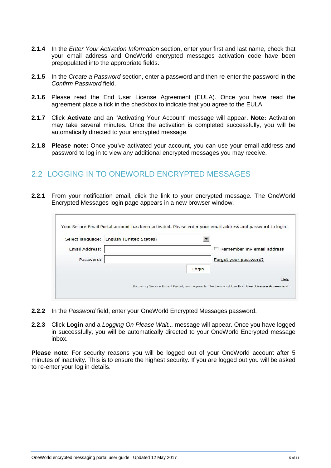- **2.1.4** In the *Enter Your Activation Information* section, enter your first and last name, check that your email address and OneWorld encrypted messages activation code have been prepopulated into the appropriate fields.
- **2.1.5** In the *Create a Password* section, enter a password and then re-enter the password in the *Confirm Password* field.
- **2.1.6** Please read the End User License Agreement (EULA). Once you have read the agreement place a tick in the checkbox to indicate that you agree to the EULA.
- **2.1.7** Click **Activate** and an "Activating Your Account" message will appear. **Note:** Activation may take several minutes. Once the activation is completed successfully, you will be automatically directed to your encrypted message.
- **2.1.8 Please note:** Once you've activated your account, you can use your email address and password to log in to view any additional encrypted messages you may receive.

### 2.2 LOGGING IN TO ONEWORLD ENCRYPTED MESSAGES

**2.2.1** From your notification email, click the link to your encrypted message. The OneWorld Encrypted Messages login page appears in a new browser window.

|                       | Select language: English (United States) |       |                           |
|-----------------------|------------------------------------------|-------|---------------------------|
| <b>Email Address:</b> |                                          |       | Remember my email address |
| Password:             |                                          |       | Forgot your password?     |
|                       |                                          | Login |                           |

- **2.2.2** In the *Password* field, enter your OneWorld Encrypted Messages password.
- **2.2.3** Click **Login** and a *Logging On Please Wait...* message will appear. Once you have logged in successfully, you will be automatically directed to your OneWorld Encrypted message inbox.

**Please note**: For security reasons you will be logged out of your OneWorld account after 5 minutes of inactivity. This is to ensure the highest security. If you are logged out you will be asked to re-enter your log in details.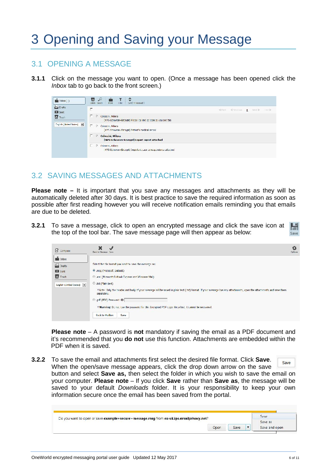# 3 Opening and Saving your Message

### 3.1 OPENING A MESSAGE

**3.1.1** Click on the message you want to open. (Once a message has been opened click the *Inbox* tab to go back to the front screen.)

| $\blacksquare$ Tabox $(1)$         | о<br>₽<br><b>STATE</b><br>$\mathbf{r}$<br>liker   Lot[ W Received]<br>Fore.<br>Lielete :<br>Search                                   |                                        |
|------------------------------------|--------------------------------------------------------------------------------------------------------------------------------------|----------------------------------------|
| <b>Ca</b> Drafts<br><b>DI</b> Sent | г                                                                                                                                    | Citate Charlotte 1<br>Next in Italy in |
| <b>C</b> Tresh                     | E.<br>Coloconi, Milena<br>D.<br>[MPS-Echowon(-Encrypt] Please call me as soon as you see this                                        |                                        |
| English (United States) 3          | Γ.<br>D.<br>Coloccini, Milena<br>[MPS Echowarx Encrypt] Pattent's medical record                                                     |                                        |
|                                    | E.<br>Coloccini, Milena<br>D.<br>[MPS-Echoworx-Encrypt] Expert report attached                                                       |                                        |
|                                    | $\triangleright$<br>Calaccial, Milena<br><b>In the Second State</b><br>MPS-Echowork-Encrypt   Important case correspondence attached |                                        |

## 3.2 SAVING MESSAGES AND ATTACHMENTS

**Please note –** It is important that you save any messages and attachments as they will be automatically deleted after 30 days. It is best practice to save the required information as soon as possible after first reading however you will receive notification emails reminding you that emails are due to be deleted.

**3.2.1** To save a message, click to open an encrypted message and click the save icon at the top of the tool bar. The save message page will then appear as below:

| <b>E</b> Compose                                                                                            | Dack to Message Save                                                                                                                                                                                                                                                                                                                                                                                                                                                                                                  | Oplions |
|-------------------------------------------------------------------------------------------------------------|-----------------------------------------------------------------------------------------------------------------------------------------------------------------------------------------------------------------------------------------------------------------------------------------------------------------------------------------------------------------------------------------------------------------------------------------------------------------------------------------------------------------------|---------|
| $\mathbf{I}$ Inbox<br><b>Sal</b> Drafts<br><b>Com</b> Sent<br><b>B</b> Trash<br>Lnglish (United States) [m] | Select the file format you want to save the message as:<br>(Microsoft Outlook)<br>C. .eml (Microsoft Outlook Express and Windows Mail)<br>.btt (Plain text)<br>f Note: Only the header and body of your message will be saved in plain text (.bt) format. If your message has any attachments, open the attachments and save them<br>separately.<br>D .pdf (PDF) Password: 0<br>+ Warning: Do not lose the password for this Encrypted PDF copy. Once lost, it cannot be recovered.<br><b>Back to Mailbox</b><br>Save |         |

**Please note** – A password is **not** mandatory if saving the email as a PDF document and it's recommended that you **do not** use this function. Attachments are embedded within the PDF when it is saved.

**3.2.2** To save the email and attachments first select the desired file format. Click **Save**. When the open/save message appears, click the drop down arrow on the save button and select **Save as,** then select the folder in which you wish to save the email on your computer. **Please note** – If you click **Save** rather than **Save as**, the message will be saved to your default *Downloads* folder. It is your responsibility to keep your own information secure once the email has been saved from the portal.

| Do you want to open or save example+secure+message.msg from ex-uk.ips.emailprivacy.net? |      |      | Save          |
|-----------------------------------------------------------------------------------------|------|------|---------------|
|                                                                                         |      |      | Save as       |
|                                                                                         | Onen | Save | Save and open |

Save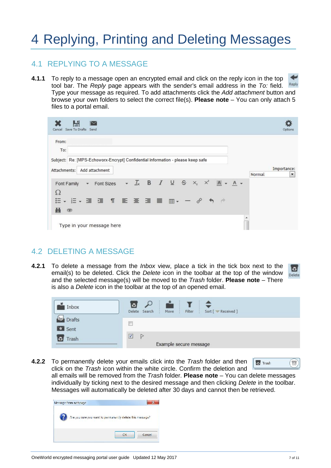# 4 Replying, Printing and Deleting Messages

### 4.1 REPLYING TO A MESSAGE

**4.1.1** To reply to a message open an encrypted email and click on the reply icon in the top tool bar. The *Reply* page appears with the sender's email address in the *To:* field. Type your message as required. To add attachments click the *Add attachment* button and browse your own folders to select the correct file(s). **Please note** – You can only attach 5 files to a portal email.

| From:                                                                           |                                    |  |                                                           |               |               |        |                          |
|---------------------------------------------------------------------------------|------------------------------------|--|-----------------------------------------------------------|---------------|---------------|--------|--------------------------|
| To:                                                                             |                                    |  |                                                           |               |               |        |                          |
| Subject: Re: [MPS-Echoworx-Encrypt] Confidential information - please keep safe |                                    |  |                                                           |               |               |        |                          |
| Attachments:                                                                    | Add attachment                     |  |                                                           |               |               |        | Importance:              |
|                                                                                 |                                    |  |                                                           |               |               | Normal | $\overline{\phantom{a}}$ |
| Font Family                                                                     | Font Sizes<br>$\blacktriangledown$ |  | $\cdot$ $\frac{1}{2}$ B $I \cup S$ $\times$ $x^2$ $A - A$ |               |               |        |                          |
| $\Omega$                                                                        |                                    |  |                                                           |               |               |        |                          |
|                                                                                 | ▼ 日 マ 三 可 二 三 三 三 目 田 マ 一 ダ        |  |                                                           | $\rightarrow$ | $\rightarrow$ |        |                          |
|                                                                                 |                                    |  |                                                           |               |               |        |                          |

### 4.2 DELETING A MESSAGE

**4.2.1** To delete a message from the *Inbox* view, place a tick in the tick box next to the email(s) to be deleted. Click the *Delete* icon in the toolbar at the top of the window and the selected message(s) will be moved to the *Trash* folder. **Please note** – There is also a *Delete* icon in the toolbar at the top of an opened email.

| Inbox                       | Move<br>Filter<br>Delete Search<br>Sort [ WReceived ]<br>- 190 |
|-----------------------------|----------------------------------------------------------------|
| $E$ Drafts<br><b>C</b> Sent | П                                                              |
| Trash                       | $\sqrt{2}$<br>P<br>Example secure message                      |

**4.2.2** To permanently delete your emails click into the *Trash* folder and then **for** trash  $\circ$ click on the *Trash* icon within the white circle. Confirm the deletion and all emails will be removed from the *Trash* folder. **Please note** – You can delete messages individually by ticking next to the desired message and then clicking *Delete* in the toolbar. Messages will automatically be deleted after 30 days and cannot then be retrieved.

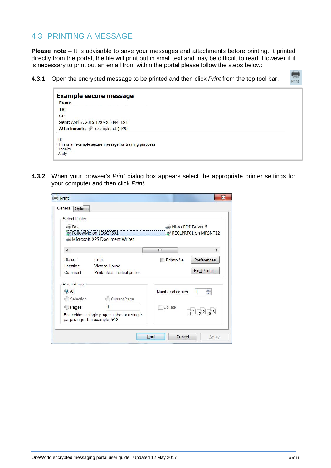## 4.3 PRINTING A MESSAGE

**Please note** – It is advisable to save your messages and attachments before printing. It printed directly from the portal, the file will print out in small text and may be difficult to read. However if it is necessary to print out an email from within the portal please follow the steps below:

**4.3.1** Open the encrypted message to be printed and then click *Print* from the top tool bar.

| <b>Example secure message</b><br>From:                  |  |
|---------------------------------------------------------|--|
| To:                                                     |  |
| C <sub>C</sub>                                          |  |
| Sent: April 7, 2015 12:09:05 PM, BST                    |  |
| Attachments: <i>@</i> example.txt (1KB)                 |  |
| Hi                                                      |  |
| This is an example secure message for training purposes |  |
| Thanks                                                  |  |
| Andy                                                    |  |

**4.3.2** When your browser's *Print* dialog box appears select the appropriate printer settings for your computer and then click *Print*.

| Select Printer                                                                 |                   |                         |
|--------------------------------------------------------------------------------|-------------------|-------------------------|
| <b>Ex</b> Fax                                                                  |                   | Nitro PDF Driver 5      |
| FollowMe on LDSGPS01                                                           |                   | RECLPRT01 on MPSNT12    |
| Microsoft XPS Document Writer                                                  |                   |                         |
|                                                                                |                   |                         |
|                                                                                | Ш                 |                         |
| Error<br>Status:                                                               | Print to file     | Preferences             |
| Location:<br>Victoria House                                                    |                   |                         |
| Comment:<br>Print/release virtual printer                                      |                   | Find Printer            |
| Page Range                                                                     |                   |                         |
| $\bigcirc$ All                                                                 | Number of copies: | $\frac{4}{7}$           |
| Current Page<br>Selection                                                      |                   |                         |
| Pages:                                                                         | Collate           |                         |
| Enter either a single page number or a single<br>page range. For example, 5-12 |                   | $1^{1}$ $2^{2}$ $3^{3}$ |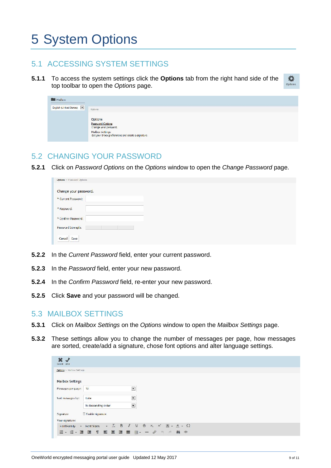# 5 System Options

### 5.1 ACCESSING SYSTEM SETTINGS

**5.1.1** To access the system settings click the **Options** tab from the right hand side of the top toolbar to open the *Options* page.

| à. |  |
|----|--|

| Mailbox                 |                                                                                                                                |
|-------------------------|--------------------------------------------------------------------------------------------------------------------------------|
| English (United States) | <b>Options</b>                                                                                                                 |
|                         | Options<br>Password Cotions<br>Change your password.<br>Mailbox Settings<br>Set your Inbox preferences and create a signature. |

### 5.2 CHANGING YOUR PASSWORD

**5.2.1** Click on *Password Options* on the *Options* window to open the *Change Password* page.

| Options > Password Options |  |  |  |
|----------------------------|--|--|--|
| Change your password.      |  |  |  |
| * Current Password:        |  |  |  |
| * Password:                |  |  |  |
| * Confirm Password:        |  |  |  |
| Password Strength:         |  |  |  |
| Cancel<br>Save             |  |  |  |

- **5.2.2** In the *Current Password* field, enter your current password.
- **5.2.3** In the *Password* field, enter your new password.
- **5.2.4** In the *Confirm Password* field, re-enter your new password.
- **5.2.5** Click **Save** and your password will be changed.

#### 5.3 MAILBOX SETTINGS

- **5.3.1** Click on *Mailbox Settings* on the *Options* window to open the *Mailbox Settings* page.
- **5.3.2** These settings allow you to change the number of messages per page, how messages are sorted, create/add a signature, chose font options and alter language settings.

| Cancel Save                |                            |                                                                 |     |  |
|----------------------------|----------------------------|-----------------------------------------------------------------|-----|--|
| Options > Mallbox Settings |                            |                                                                 |     |  |
|                            |                            |                                                                 |     |  |
| Mailbox Settings           |                            |                                                                 |     |  |
| Messages per page:         | 10 <sub>1</sub>            | $\overline{\phantom{a}}$                                        |     |  |
|                            |                            |                                                                 |     |  |
| Sort messages by:          | Date                       | $\blacksquare$                                                  |     |  |
|                            | In descending order        | $\overline{\phantom{a}}$                                        |     |  |
| Signature                  | Tinable signature          |                                                                 |     |  |
| Your signature:            |                            |                                                                 |     |  |
| Font Family                | - Font Sizes               | $\cdot$ $\frac{1}{26}$ B J U S x x A $\cdot$ A $\cdot$ $\Omega$ |     |  |
|                            | 注→ 注→ 理 理 作 图 画 理 圖 田- 一 % | $-\partial\gamma = -\rho\partial$                               | 繭 ® |  |
|                            |                            |                                                                 |     |  |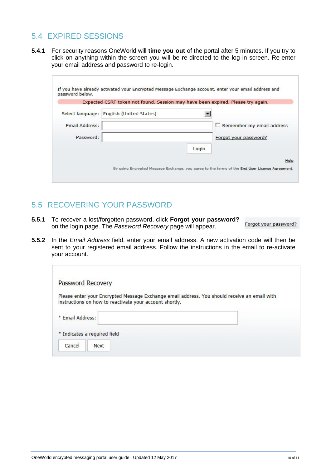## 5.4 EXPIRED SESSIONS

**5.4.1** For security reasons OneWorld will **time you out** of the portal after 5 minutes. If you try to click on anything within the screen you will be re-directed to the log in screen. Re-enter your email address and password to re-login.

|                       | Expected CSRF token not found. Session may have been expired. Please try again. |                           |
|-----------------------|---------------------------------------------------------------------------------|---------------------------|
| Select language:      | English (United States)                                                         |                           |
| <b>Email Address:</b> |                                                                                 | Remember my email address |
| Password:             |                                                                                 | Forgot your password?     |
|                       |                                                                                 | Login                     |

## 5.5 RECOVERING YOUR PASSWORD

- **5.5.1** To recover a lost/forgotten password, click **Forgot your password?** on the login page. The *Password Recovery* page will appear.
- **5.5.2** In the *Email Address* field, enter your email address. A new activation code will then be sent to your registered email address. Follow the instructions in the email to re-activate your account.

| Password Recovery                                       |                                                                                              |
|---------------------------------------------------------|----------------------------------------------------------------------------------------------|
| instructions on how to reactivate your account shortly. | Please enter your Encrypted Message Exchange email address. You should receive an email with |
| * Email Address:                                        |                                                                                              |
| * Indicates a required field                            |                                                                                              |
| Cancel<br>Next                                          |                                                                                              |